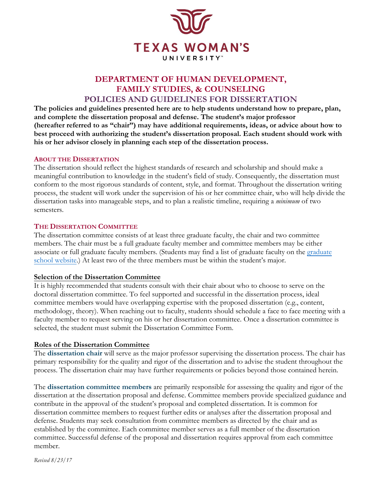

# **DEPARTMENT OF HUMAN DEVELOPMENT, FAMILY STUDIES, & COUNSELING POLICIES AND GUIDELINES FOR DISSERTATION**

**The policies and guidelines presented here are to help students understand how to prepare, plan, and complete the dissertation proposal and defense. The student's major professor (hereafter referred to as "chair") may have additional requirements, ideas, or advice about how to best proceed with authorizing the student's dissertation proposal. Each student should work with his or her advisor closely in planning each step of the dissertation process.** 

## **ABOUT THE DISSERTATION**

The dissertation should reflect the highest standards of research and scholarship and should make a meaningful contribution to knowledge in the student's field of study. Consequently, the dissertation must conform to the most rigorous standards of content, style, and format. Throughout the dissertation writing process, the student will work under the supervision of his or her committee chair, who will help divide the dissertation tasks into manageable steps, and to plan a realistic timeline, requiring a *minimum* of two semesters.

## **THE DISSERTATION COMMITTEE**

The dissertation committee consists of at least three graduate faculty, the chair and two committee members. The chair must be a full graduate faculty member and committee members may be either associate or full graduate faculty members. (Students may find a list of graduate faculty on the graduate school website.) At least two of the three members must be within the student's major.

### **Selection of the Dissertation Committee**

It is highly recommended that students consult with their chair about who to choose to serve on the doctoral dissertation committee. To feel supported and successful in the dissertation process, ideal committee members would have overlapping expertise with the proposed dissertation (e.g., content, methodology, theory). When reaching out to faculty, students should schedule a face to face meeting with a faculty member to request serving on his or her dissertation committee. Once a dissertation committee is selected, the student must submit the Dissertation Committee Form.

## **Roles of the Dissertation Committee**

The **dissertation chair** will serve as the major professor supervising the dissertation process. The chair has primary responsibility for the quality and rigor of the dissertation and to advise the student throughout the process. The dissertation chair may have further requirements or policies beyond those contained herein.

The **dissertation committee members** are primarily responsible for assessing the quality and rigor of the dissertation at the dissertation proposal and defense. Committee members provide specialized guidance and contribute in the approval of the student's proposal and completed dissertation. It is common for dissertation committee members to request further edits or analyses after the dissertation proposal and defense. Students may seek consultation from committee members as directed by the chair and as established by the committee. Each committee member serves as a full member of the dissertation committee. Successful defense of the proposal and dissertation requires approval from each committee member.

*Revised 8/23/17*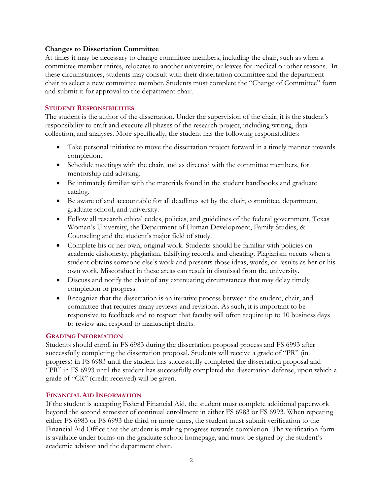## **Changes to Dissertation Committee**

At times it may be necessary to change committee members, including the chair, such as when a committee member retires, relocates to another university, or leaves for medical or other reasons. In these circumstances, students may consult with their dissertation committee and the department chair to select a new committee member. Students must complete the "Change of Committee" form and submit it for approval to the department chair.

## **STUDENT RESPONSIBILITIES**

The student is the author of the dissertation. Under the supervision of the chair, it is the student's responsibility to craft and execute all phases of the research project, including writing, data collection, and analyses. More specifically, the student has the following responsibilities:

- Take personal initiative to move the dissertation project forward in a timely manner towards completion.
- Schedule meetings with the chair, and as directed with the committee members, for mentorship and advising.
- Be intimately familiar with the materials found in the student handbooks and graduate catalog.
- Be aware of and accountable for all deadlines set by the chair, committee, department, graduate school, and university.
- Follow all research ethical codes, policies, and guidelines of the federal government, Texas Woman's University, the Department of Human Development, Family Studies, & Counseling and the student's major field of study.
- Complete his or her own, original work. Students should be familiar with policies on academic dishonesty, plagiarism, falsifying records, and cheating. Plagiarism occurs when a student obtains someone else's work and presents those ideas, words, or results as her or his own work. Misconduct in these areas can result in dismissal from the university.
- Discuss and notify the chair of any extenuating circumstances that may delay timely completion or progress.
- Recognize that the dissertation is an iterative process between the student, chair, and committee that requires many reviews and revisions. As such, it is important to be responsive to feedback and to respect that faculty will often require up to 10 business days to review and respond to manuscript drafts.

### **GRADING INFORMATION**

Students should enroll in FS 6983 during the dissertation proposal process and FS 6993 after successfully completing the dissertation proposal. Students will receive a grade of "PR" (in progress) in FS 6983 until the student has successfully completed the dissertation proposal and "PR" in FS 6993 until the student has successfully completed the dissertation defense, upon which a grade of "CR" (credit received) will be given.

### **FINANCIAL AID INFORMATION**

If the student is accepting Federal Financial Aid, the student must complete additional paperwork beyond the second semester of continual enrollment in either FS 6983 or FS 6993. When repeating either FS 6983 or FS 6993 the third or more times, the student must submit verification to the Financial Aid Office that the student is making progress towards completion. The verification form is available under forms on the graduate school homepage, and must be signed by the student's academic advisor and the department chair.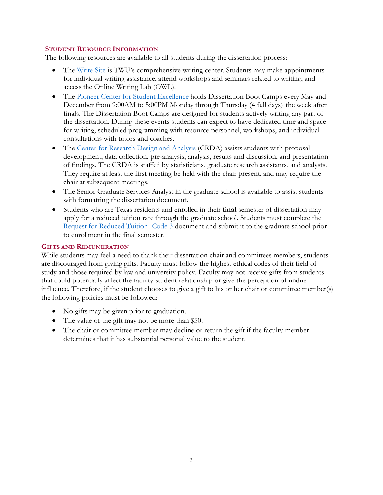## **STUDENT RESOURCE INFORMATION**

The following resources are available to all students during the dissertation process:

- The Write Site is TWU's comprehensive writing center. Students may make appointments for individual writing assistance, attend workshops and seminars related to writing, and access the Online Writing Lab (OWL).
- The Pioneer Center for Student Excellence holds Dissertation Boot Camps every May and December from 9:00AM to 5:00PM Monday through Thursday (4 full days) the week after finals. The Dissertation Boot Camps are designed for students actively writing any part of the dissertation. During these events students can expect to have dedicated time and space for writing, scheduled programming with resource personnel, workshops, and individual consultations with tutors and coaches.
- The Center for Research Design and Analysis (CRDA) assists students with proposal development, data collection, pre-analysis, analysis, results and discussion, and presentation of findings. The CRDA is staffed by statisticians, graduate research assistants, and analysts. They require at least the first meeting be held with the chair present, and may require the chair at subsequent meetings.
- The Senior Graduate Services Analyst in the graduate school is available to assist students with formatting the dissertation document.
- Students who are Texas residents and enrolled in their **final** semester of dissertation may apply for a reduced tuition rate through the graduate school. Students must complete the Request for Reduced Tuition- Code 3 document and submit it to the graduate school prior to enrollment in the final semester.

## **GIFTS AND REMUNERATION**

While students may feel a need to thank their dissertation chair and committees members, students are discouraged from giving gifts. Faculty must follow the highest ethical codes of their field of study and those required by law and university policy. Faculty may not receive gifts from students that could potentially affect the faculty-student relationship or give the perception of undue influence. Therefore, if the student chooses to give a gift to his or her chair or committee member(s) the following policies must be followed:

- No gifts may be given prior to graduation.
- The value of the gift may not be more than \$50.
- The chair or committee member may decline or return the gift if the faculty member determines that it has substantial personal value to the student.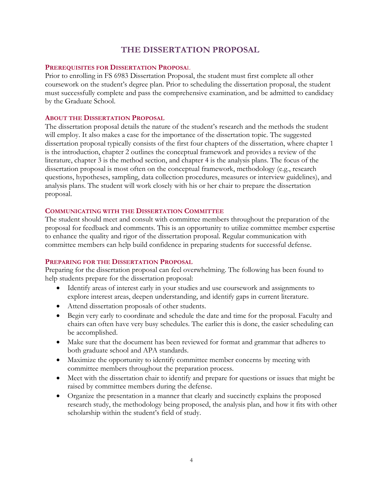# **THE DISSERTATION PROPOSAL**

### **PREREQUISITES FOR DISSERTATION PROPOSA**L

Prior to enrolling in FS 6983 Dissertation Proposal, the student must first complete all other coursework on the student's degree plan. Prior to scheduling the dissertation proposal, the student must successfully complete and pass the comprehensive examination, and be admitted to candidacy by the Graduate School.

#### **ABOUT THE DISSERTATION PROPOSAL**

The dissertation proposal details the nature of the student's research and the methods the student will employ. It also makes a case for the importance of the dissertation topic. The suggested dissertation proposal typically consists of the first four chapters of the dissertation, where chapter 1 is the introduction, chapter 2 outlines the conceptual framework and provides a review of the literature, chapter 3 is the method section, and chapter 4 is the analysis plans. The focus of the dissertation proposal is most often on the conceptual framework, methodology (e.g., research questions, hypotheses, sampling, data collection procedures, measures or interview guidelines), and analysis plans. The student will work closely with his or her chair to prepare the dissertation proposal.

#### **COMMUNICATING WITH THE DISSERTATION COMMITTEE**

The student should meet and consult with committee members throughout the preparation of the proposal for feedback and comments. This is an opportunity to utilize committee member expertise to enhance the quality and rigor of the dissertation proposal. Regular communication with committee members can help build confidence in preparing students for successful defense.

#### **PREPARING FOR THE DISSERTATION PROPOSAL**

Preparing for the dissertation proposal can feel overwhelming. The following has been found to help students prepare for the dissertation proposal:

- Identify areas of interest early in your studies and use coursework and assignments to explore interest areas, deepen understanding, and identify gaps in current literature.
- Attend dissertation proposals of other students.
- Begin very early to coordinate and schedule the date and time for the proposal. Faculty and chairs can often have very busy schedules. The earlier this is done, the easier scheduling can be accomplished.
- Make sure that the document has been reviewed for format and grammar that adheres to both graduate school and APA standards.
- Maximize the opportunity to identify committee member concerns by meeting with committee members throughout the preparation process.
- Meet with the dissertation chair to identify and prepare for questions or issues that might be raised by committee members during the defense.
- Organize the presentation in a manner that clearly and succinctly explains the proposed research study, the methodology being proposed, the analysis plan, and how it fits with other scholarship within the student's field of study.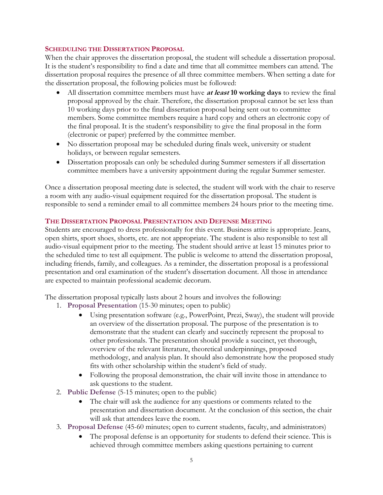## **SCHEDULING THE DISSERTATION PROPOSAL**

When the chair approves the dissertation proposal, the student will schedule a dissertation proposal. It is the student's responsibility to find a date and time that all committee members can attend. The dissertation proposal requires the presence of all three committee members. When setting a date for the dissertation proposal, the following policies must be followed:

- All dissertation committee members must have **at least 10 working days** to review the final proposal approved by the chair. Therefore, the dissertation proposal cannot be set less than 10 working days prior to the final dissertation proposal being sent out to committee members. Some committee members require a hard copy and others an electronic copy of the final proposal. It is the student's responsibility to give the final proposal in the form (electronic or paper) preferred by the committee member.
- No dissertation proposal may be scheduled during finals week, university or student holidays, or between regular semesters.
- Dissertation proposals can only be scheduled during Summer semesters if all dissertation committee members have a university appointment during the regular Summer semester.

Once a dissertation proposal meeting date is selected, the student will work with the chair to reserve a room with any audio-visual equipment required for the dissertation proposal. The student is responsible to send a reminder email to all committee members 24 hours prior to the meeting time.

## **THE DISSERTATION PROPOSAL PRESENTATION AND DEFENSE MEETING**

Students are encouraged to dress professionally for this event. Business attire is appropriate. Jeans, open shirts, sport shoes, shorts, etc. are not appropriate. The student is also responsible to test all audio-visual equipment prior to the meeting. The student should arrive at least 15 minutes prior to the scheduled time to test all equipment. The public is welcome to attend the dissertation proposal, including friends, family, and colleagues. As a reminder, the dissertation proposal is a professional presentation and oral examination of the student's dissertation document. All those in attendance are expected to maintain professional academic decorum.

The dissertation proposal typically lasts about 2 hours and involves the following:

- 1. **Proposal Presentation** (15-30 minutes; open to public)
	- Using presentation software (e.g., PowerPoint, Prezi, Sway), the student will provide an overview of the dissertation proposal. The purpose of the presentation is to demonstrate that the student can clearly and succinctly represent the proposal to other professionals. The presentation should provide a succinct, yet thorough, overview of the relevant literature, theoretical underpinnings, proposed methodology, and analysis plan. It should also demonstrate how the proposed study fits with other scholarship within the student's field of study.
	- Following the proposal demonstration, the chair will invite those in attendance to ask questions to the student.
- 2. **Public Defense** (5-15 minutes; open to the public)
	- The chair will ask the audience for any questions or comments related to the presentation and dissertation document. At the conclusion of this section, the chair will ask that attendees leave the room.
- 3. **Proposal Defense** (45-60 minutes; open to current students, faculty, and administrators)
	- The proposal defense is an opportunity for students to defend their science. This is achieved through committee members asking questions pertaining to current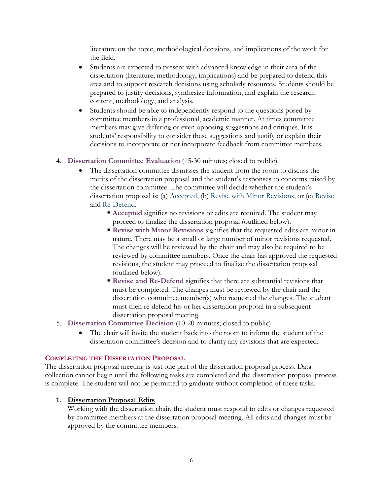literature on the topic, methodological decisions, and implications of the work for the field.

- Students are expected to present with advanced knowledge in their area of the dissertation (literature, methodology, implications) and be prepared to defend this area and to support research decisions using scholarly resources. Students should be prepared to justify decisions, synthesize information, and explain the research content, methodology, and analysis.
- committee members in a professional, academic manner. At times committee members may give differing or even opposing suggestions and critiques. It is • Students should be able to independently respond to the questions posed by students' responsibility to consider these suggestions and justify or explain their decisions to incorporate or not incorporate feedback from committee members.

## 4. **Dissertation Committee Evaluation** (15-30 minutes; closed to public)

- The dissertation committee dismisses the student from the room to discuss the merits of the dissertation proposal and the student's responses to concerns raised by the dissertation committee. The committee will decide whether the student's dissertation proposal is: (a) Accepted, (b) Revise with Minor Revisions, or (c) Revise and Re-Defend.
	- **Accepted** signifies no revisions or edits are required. The student may proceed to finalize the dissertation proposal (outlined below).
	- **Revise with Minor Revisions** signifies that the requested edits are minor in nature. There may be a small or large number of minor revisions requested. The changes will be reviewed by the chair and may also be required to be reviewed by committee members. Once the chair has approved the requested revisions, the student may proceed to finalize the dissertation proposal (outlined below).
	- **Revise and Re-Defend** signifies that there are substantial revisions that must be completed. The changes must be reviewed by the chair and the dissertation committee member(s) who requested the changes. The student must then re-defend his or her dissertation proposal in a subsequent dissertation proposal meeting.
- 5. **Dissertation Committee Decision** (10-20 minutes; closed to public)
	- The chair will invite the student back into the room to inform the student of the dissertation committee's decision and to clarify any revisions that are expected.

### **COMPLETING THE DISSERTATION PROPOSAL**

The dissertation proposal meeting is just one part of the dissertation proposal process. Data collection cannot begin until the following tasks are completed and the dissertation proposal process is complete. The student will not be permitted to graduate without completion of these tasks.

## **1. Dissertation Proposal Edits**

Working with the dissertation chair, the student must respond to edits or changes requested by committee members at the dissertation proposal meeting. All edits and changes must be approved by the committee members.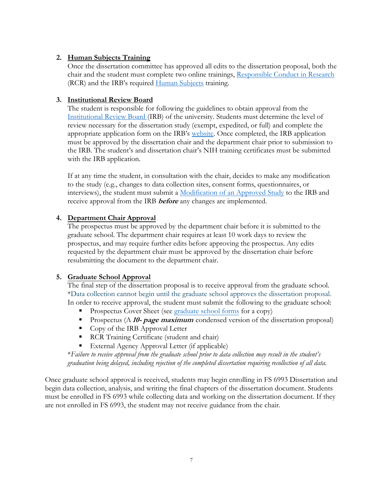## **2. Human Subjects Training**

Once the dissertation committee has approved all edits to the dissertation proposal, both the chair and the student must complete two online trainings, Responsible Conduct in Research (RCR) and the IRB's required Human Subjects training.

## **3. Institutional Review Board**

The student is responsible for following the guidelines to obtain approval from the Institutional Review Board (IRB) of the university. Students must determine the level of review necessary for the dissertation study (exempt, expedited, or full) and complete the appropriate application form on the IRB's website. Once completed, the IRB application must be approved by the dissertation chair and the department chair prior to submission to the IRB. The student's and dissertation chair's NIH training certificates must be submitted with the IRB application.

 receive approval from the IRB **before** any changes are implemented. If at any time the student, in consultation with the chair, decides to make any modification to the study (e.g., changes to data collection sites, consent forms, questionnaires, or interviews), the student must submit a Modification of an Approved Study to the IRB and

## **4. Department Chair Approval**

The prospectus must be approved by the department chair before it is submitted to the graduate school. The department chair requires at least 10 work days to review the prospectus, and may require further edits before approving the prospectus. Any edits requested by the department chair must be approved by the dissertation chair before resubmitting the document to the department chair.

## **5. Graduate School Approval**

The final step of the dissertation proposal is to receive approval from the graduate school. \*Data collection cannot begin until the graduate school approves the dissertation proposal. In order to receive approval, the student must submit the following to the graduate school:

- Prospectus Cover Sheet (see graduate school forms for a copy)
- **Prospectus (A 10- page maximum** condensed version of the dissertation proposal)
- Copy of the IRB Approval Letter
- **RCR** Training Certificate (student and chair)
- External Agency Approval Letter (if applicable)

\**Failure to receive approval from the graduate school prior to data collection may result in the student's graduation being delayed, including rejection of the completed dissertation requiring recollection of all data.* 

Once graduate school approval is received, students may begin enrolling in FS 6993 Dissertation and begin data collection, analysis, and writing the final chapters of the dissertation document. Students must be enrolled in FS 6993 while collecting data and working on the dissertation document. If they are not enrolled in FS 6993, the student may not receive guidance from the chair.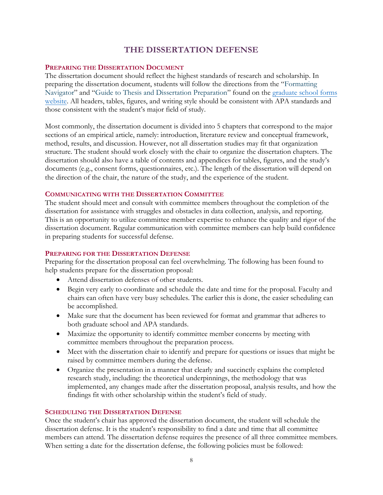# **THE DISSERTATION DEFENSE**

## **PREPARING THE DISSERTATION DOCUMENT**

The dissertation document should reflect the highest standards of research and scholarship. In preparing the dissertation document, students will follow the directions from the "Formatting Navigator" and "Guide to Thesis and Dissertation Preparation" found on the graduate school forms website. All headers, tables, figures, and writing style should be consistent with APA standards and those consistent with the student's major field of study.

Most commonly, the dissertation document is divided into 5 chapters that correspond to the major sections of an empirical article, namely: introduction, literature review and conceptual framework, method, results, and discussion. However, not all dissertation studies may fit that organization structure. The student should work closely with the chair to organize the dissertation chapters. The dissertation should also have a table of contents and appendices for tables, figures, and the study's documents (e.g., consent forms, questionnaires, etc.). The length of the dissertation will depend on the direction of the chair, the nature of the study, and the experience of the student.

### **COMMUNICATING WITH THE DISSERTATION COMMITTEE**

The student should meet and consult with committee members throughout the completion of the dissertation for assistance with struggles and obstacles in data collection, analysis, and reporting. This is an opportunity to utilize committee member expertise to enhance the quality and rigor of the dissertation document. Regular communication with committee members can help build confidence in preparing students for successful defense.

### **PREPARING FOR THE DISSERTATION DEFENSE**

Preparing for the dissertation proposal can feel overwhelming. The following has been found to help students prepare for the dissertation proposal:

- Attend dissertation defenses of other students.
- Begin very early to coordinate and schedule the date and time for the proposal. Faculty and chairs can often have very busy schedules. The earlier this is done, the easier scheduling can be accomplished.
- Make sure that the document has been reviewed for format and grammar that adheres to both graduate school and APA standards.
- Maximize the opportunity to identify committee member concerns by meeting with committee members throughout the preparation process.
- Meet with the dissertation chair to identify and prepare for questions or issues that might be raised by committee members during the defense.
- Organize the presentation in a manner that clearly and succinctly explains the completed research study, including: the theoretical underpinnings, the methodology that was implemented, any changes made after the dissertation proposal, analysis results, and how the findings fit with other scholarship within the student's field of study.

### **SCHEDULING THE DISSERTATION DEFENSE**

Once the student's chair has approved the dissertation document, the student will schedule the dissertation defense. It is the student's responsibility to find a date and time that all committee members can attend. The dissertation defense requires the presence of all three committee members. When setting a date for the dissertation defense, the following policies must be followed: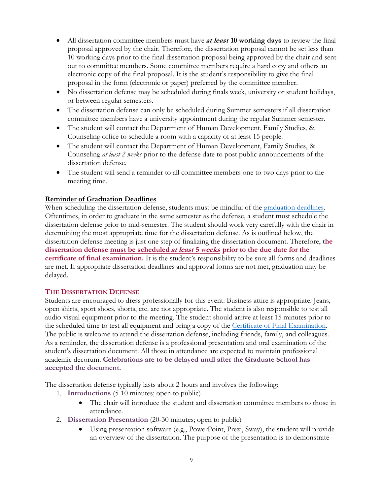- All dissertation committee members must have **at least 10 working days** to review the final proposal approved by the chair. Therefore, the dissertation proposal cannot be set less than 10 working days prior to the final dissertation proposal being approved by the chair and sent out to committee members. Some committee members require a hard copy and others an electronic copy of the final proposal. It is the student's responsibility to give the final proposal in the form (electronic or paper) preferred by the committee member.
- No dissertation defense may be scheduled during finals week, university or student holidays, or between regular semesters.
- The dissertation defense can only be scheduled during Summer semesters if all dissertation committee members have a university appointment during the regular Summer semester.
- The student will contact the Department of Human Development, Family Studies, & Counseling office to schedule a room with a capacity of at least 15 people.
- The student will contact the Department of Human Development, Family Studies, & Counseling *at least 2 weeks* prior to the defense date to post public announcements of the dissertation defense.
- The student will send a reminder to all committee members one to two days prior to the meeting time.

## **Reminder of Graduation Deadlines**

When scheduling the dissertation defense, students must be mindful of the graduation deadlines. Oftentimes, in order to graduate in the same semester as the defense, a student must schedule the dissertation defense prior to mid-semester. The student should work very carefully with the chair in determining the most appropriate time for the dissertation defense. As is outlined below, the dissertation defense meeting is just one step of finalizing the dissertation document. Therefore, **the dissertation defense must be scheduled at least 5 weeks prior to the due date for the certificate of final examination.** It is the student's responsibility to be sure all forms and deadlines are met. If appropriate dissertation deadlines and approval forms are not met, graduation may be delayed.

## **THE DISSERTATION DEFENSE**

Students are encouraged to dress professionally for this event. Business attire is appropriate. Jeans, open shirts, sport shoes, shorts, etc. are not appropriate. The student is also responsible to test all audio-visual equipment prior to the meeting. The student should arrive at least 15 minutes prior to the scheduled time to test all equipment and bring a copy of the Certificate of Final Examination. The public is welcome to attend the dissertation defense, including friends, family, and colleagues. As a reminder, the dissertation defense is a professional presentation and oral examination of the student's dissertation document. All those in attendance are expected to maintain professional academic decorum. **Celebrations are to be delayed until after the Graduate School has accepted the document.** 

The dissertation defense typically lasts about 2 hours and involves the following:

- 1. **Introductions** (5-10 minutes; open to public)
	- The chair will introduce the student and dissertation committee members to those in attendance.
- 2. **Dissertation Presentation** (20-30 minutes; open to public)
	- Using presentation software (e.g., PowerPoint, Prezi, Sway), the student will provide an overview of the dissertation. The purpose of the presentation is to demonstrate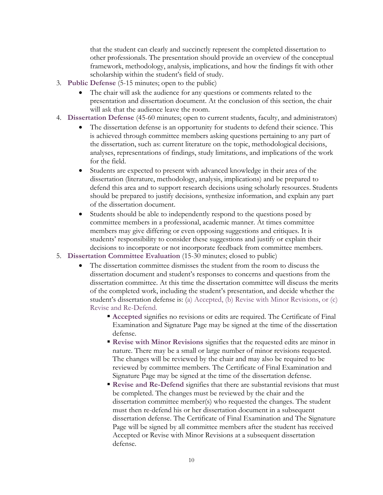that the student can clearly and succinctly represent the completed dissertation to other professionals. The presentation should provide an overview of the conceptual framework, methodology, analysis, implications, and how the findings fit with other scholarship within the student's field of study.

- 3. **Public Defense** (5-15 minutes; open to the public)
	- The chair will ask the audience for any questions or comments related to the presentation and dissertation document. At the conclusion of this section, the chair will ask that the audience leave the room.
- 4. **Dissertation Defense** (45-60 minutes; open to current students, faculty, and administrators)
	- The dissertation defense is an opportunity for students to defend their science. This is achieved through committee members asking questions pertaining to any part of the dissertation, such as: current literature on the topic, methodological decisions, analyses, representations of findings, study limitations, and implications of the work for the field.
	- Students are expected to present with advanced knowledge in their area of the dissertation (literature, methodology, analysis, implications) and be prepared to defend this area and to support research decisions using scholarly resources. Students should be prepared to justify decisions, synthesize information, and explain any part of the dissertation document.
	- Students should be able to independently respond to the questions posed by committee members in a professional, academic manner. At times committee members may give differing or even opposing suggestions and critiques. It is students' responsibility to consider these suggestions and justify or explain their decisions to incorporate or not incorporate feedback from committee members.
- 5. **Dissertation Committee Evaluation** (15-30 minutes; closed to public)
	- The dissertation committee dismisses the student from the room to discuss the dissertation document and student's responses to concerns and questions from the dissertation committee. At this time the dissertation committee will discuss the merits of the completed work, including the student's presentation, and decide whether the student's dissertation defense is: (a) Accepted, (b) Revise with Minor Revisions, or (c) Revise and Re-Defend.
		- **Accepted** signifies no revisions or edits are required. The Certificate of Final Examination and Signature Page may be signed at the time of the dissertation defense.
		- **Revise with Minor Revisions** signifies that the requested edits are minor in nature. There may be a small or large number of minor revisions requested. The changes will be reviewed by the chair and may also be required to be reviewed by committee members. The Certificate of Final Examination and Signature Page may be signed at the time of the dissertation defense.
		- **Revise and Re-Defend** signifies that there are substantial revisions that must be completed. The changes must be reviewed by the chair and the dissertation committee member(s) who requested the changes. The student must then re-defend his or her dissertation document in a subsequent dissertation defense. The Certificate of Final Examination and The Signature Page will be signed by all committee members after the student has received Accepted or Revise with Minor Revisions at a subsequent dissertation defense.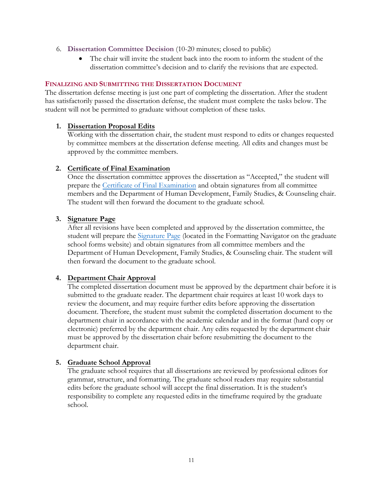- 6. **Dissertation Committee Decision** (10-20 minutes; closed to public)
	- The chair will invite the student back into the room to inform the student of the dissertation committee's decision and to clarify the revisions that are expected.

## **FINALIZING AND SUBMITTING THE DISSERTATION DOCUMENT**

The dissertation defense meeting is just one part of completing the dissertation. After the student has satisfactorily passed the dissertation defense, the student must complete the tasks below. The student will not be permitted to graduate without completion of these tasks.

## **1. Dissertation Proposal Edits**

Working with the dissertation chair, the student must respond to edits or changes requested by committee members at the dissertation defense meeting. All edits and changes must be approved by the committee members.

## **2. Certificate of Final Examination**

Once the dissertation committee approves the dissertation as "Accepted," the student will prepare the Certificate of Final Examination and obtain signatures from all committee members and the Department of Human Development, Family Studies, & Counseling chair. The student will then forward the document to the graduate school.

## **3. Signature Page**

After all revisions have been completed and approved by the dissertation committee, the student will prepare the Signature Page (located in the Formatting Navigator on the graduate school forms website) and obtain signatures from all committee members and the Department of Human Development, Family Studies, & Counseling chair. The student will then forward the document to the graduate school.

## **4. Department Chair Approval**

The completed dissertation document must be approved by the department chair before it is submitted to the graduate reader. The department chair requires at least 10 work days to review the document, and may require further edits before approving the dissertation document. Therefore, the student must submit the completed dissertation document to the department chair in accordance with the academic calendar and in the format (hard copy or electronic) preferred by the department chair. Any edits requested by the department chair must be approved by the dissertation chair before resubmitting the document to the department chair.

## **5. Graduate School Approval**

The graduate school requires that all dissertations are reviewed by professional editors for grammar, structure, and formatting. The graduate school readers may require substantial edits before the graduate school will accept the final dissertation. It is the student's responsibility to complete any requested edits in the timeframe required by the graduate school.